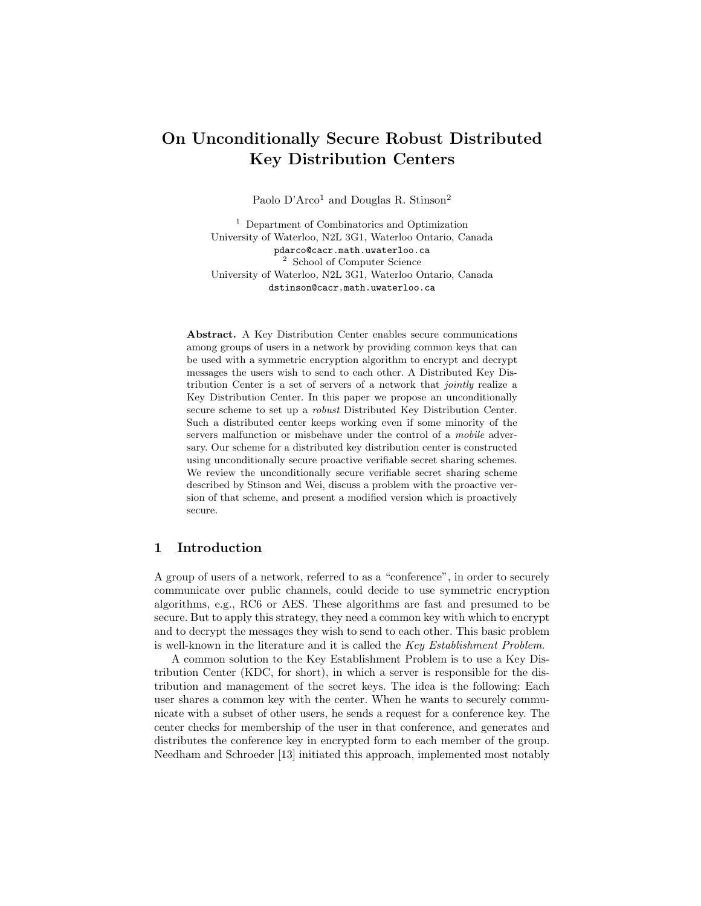# On Unconditionally Secure Robust Distributed Key Distribution Centers

Paolo D'Arco<sup>1</sup> and Douglas R. Stinson<sup>2</sup>

<sup>1</sup> Department of Combinatorics and Optimization University of Waterloo, N2L 3G1, Waterloo Ontario, Canada pdarco@cacr.math.uwaterloo.ca <sup>2</sup> School of Computer Science University of Waterloo, N2L 3G1, Waterloo Ontario, Canada dstinson@cacr.math.uwaterloo.ca

Abstract. A Key Distribution Center enables secure communications among groups of users in a network by providing common keys that can be used with a symmetric encryption algorithm to encrypt and decrypt messages the users wish to send to each other. A Distributed Key Distribution Center is a set of servers of a network that jointly realize a Key Distribution Center. In this paper we propose an unconditionally secure scheme to set up a *robust* Distributed Key Distribution Center. Such a distributed center keeps working even if some minority of the servers malfunction or misbehave under the control of a mobile adversary. Our scheme for a distributed key distribution center is constructed using unconditionally secure proactive verifiable secret sharing schemes. We review the unconditionally secure verifiable secret sharing scheme described by Stinson and Wei, discuss a problem with the proactive version of that scheme, and present a modified version which is proactively secure.

# 1 Introduction

A group of users of a network, referred to as a "conference", in order to securely communicate over public channels, could decide to use symmetric encryption algorithms, e.g., RC6 or AES. These algorithms are fast and presumed to be secure. But to apply this strategy, they need a common key with which to encrypt and to decrypt the messages they wish to send to each other. This basic problem is well-known in the literature and it is called the Key Establishment Problem.

A common solution to the Key Establishment Problem is to use a Key Distribution Center (KDC, for short), in which a server is responsible for the distribution and management of the secret keys. The idea is the following: Each user shares a common key with the center. When he wants to securely communicate with a subset of other users, he sends a request for a conference key. The center checks for membership of the user in that conference, and generates and distributes the conference key in encrypted form to each member of the group. Needham and Schroeder [13] initiated this approach, implemented most notably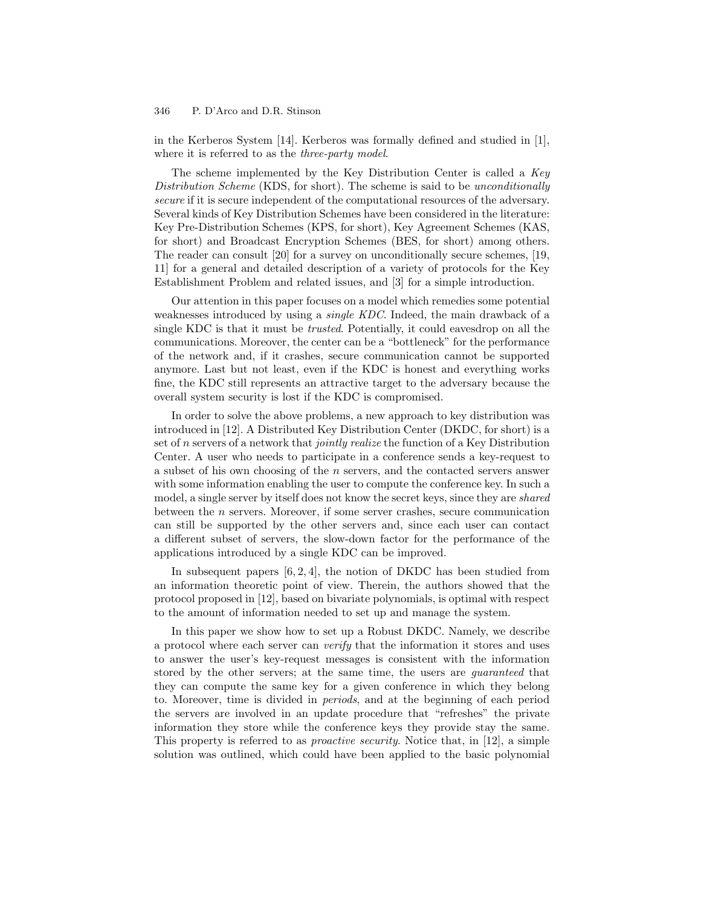in the Kerberos System [14]. Kerberos was formally defined and studied in [1], where it is referred to as the *three-party model*.

The scheme implemented by the Key Distribution Center is called a Key Distribution Scheme (KDS, for short). The scheme is said to be unconditionally secure if it is secure independent of the computational resources of the adversary. Several kinds of Key Distribution Schemes have been considered in the literature: Key Pre-Distribution Schemes (KPS, for short), Key Agreement Schemes (KAS, for short) and Broadcast Encryption Schemes (BES, for short) among others. The reader can consult [20] for a survey on unconditionally secure schemes, [19, 11] for a general and detailed description of a variety of protocols for the Key Establishment Problem and related issues, and [3] for a simple introduction.

Our attention in this paper focuses on a model which remedies some potential weaknesses introduced by using a single KDC. Indeed, the main drawback of a single KDC is that it must be trusted. Potentially, it could eavesdrop on all the communications. Moreover, the center can be a "bottleneck" for the performance of the network and, if it crashes, secure communication cannot be supported anymore. Last but not least, even if the KDC is honest and everything works fine, the KDC still represents an attractive target to the adversary because the overall system security is lost if the KDC is compromised.

In order to solve the above problems, a new approach to key distribution was introduced in [12]. A Distributed Key Distribution Center (DKDC, for short) is a set of n servers of a network that jointly realize the function of a Key Distribution Center. A user who needs to participate in a conference sends a key-request to a subset of his own choosing of the  $n$  servers, and the contacted servers answer with some information enabling the user to compute the conference key. In such a model, a single server by itself does not know the secret keys, since they are shared between the n servers. Moreover, if some server crashes, secure communication can still be supported by the other servers and, since each user can contact a different subset of servers, the slow-down factor for the performance of the applications introduced by a single KDC can be improved.

In subsequent papers  $[6, 2, 4]$ , the notion of DKDC has been studied from an information theoretic point of view. Therein, the authors showed that the protocol proposed in [12], based on bivariate polynomials, is optimal with respect to the amount of information needed to set up and manage the system.

In this paper we show how to set up a Robust DKDC. Namely, we describe a protocol where each server can verify that the information it stores and uses to answer the user's key-request messages is consistent with the information stored by the other servers; at the same time, the users are *guaranteed* that they can compute the same key for a given conference in which they belong to. Moreover, time is divided in periods, and at the beginning of each period the servers are involved in an update procedure that "refreshes" the private information they store while the conference keys they provide stay the same. This property is referred to as *proactive security*. Notice that, in [12], a simple solution was outlined, which could have been applied to the basic polynomial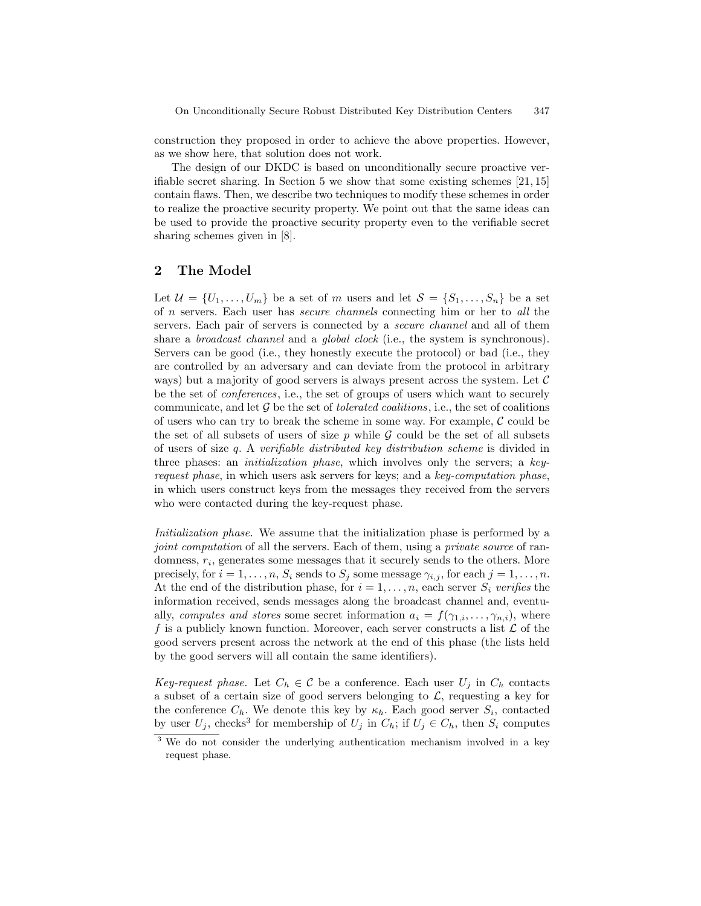construction they proposed in order to achieve the above properties. However, as we show here, that solution does not work.

The design of our DKDC is based on unconditionally secure proactive verifiable secret sharing. In Section 5 we show that some existing schemes [21, 15] contain flaws. Then, we describe two techniques to modify these schemes in order to realize the proactive security property. We point out that the same ideas can be used to provide the proactive security property even to the verifiable secret sharing schemes given in [8].

# 2 The Model

Let  $\mathcal{U} = \{U_1, \ldots, U_m\}$  be a set of m users and let  $\mathcal{S} = \{S_1, \ldots, S_n\}$  be a set of n servers. Each user has secure channels connecting him or her to all the servers. Each pair of servers is connected by a *secure channel* and all of them share a *broadcast channel* and a *global clock* (i.e., the system is synchronous). Servers can be good (i.e., they honestly execute the protocol) or bad (i.e., they are controlled by an adversary and can deviate from the protocol in arbitrary ways) but a majority of good servers is always present across the system. Let  $\mathcal C$ be the set of conferences, i.e., the set of groups of users which want to securely communicate, and let  $\mathcal G$  be the set of *tolerated coalitions*, i.e., the set of coalitions of users who can try to break the scheme in some way. For example,  $\mathcal C$  could be the set of all subsets of users of size  $p$  while  $\mathcal G$  could be the set of all subsets of users of size q. A verifiable distributed key distribution scheme is divided in three phases: an initialization phase, which involves only the servers; a keyrequest phase, in which users ask servers for keys; and a key-computation phase, in which users construct keys from the messages they received from the servers who were contacted during the key-request phase.

Initialization phase. We assume that the initialization phase is performed by a joint computation of all the servers. Each of them, using a private source of randomness,  $r_i$ , generates some messages that it securely sends to the others. More precisely, for  $i = 1, \ldots, n$ ,  $S_i$  sends to  $S_j$  some message  $\gamma_{i,j}$ , for each  $j = 1, \ldots, n$ . At the end of the distribution phase, for  $i = 1, \ldots, n$ , each server  $S_i$  verifies the information received, sends messages along the broadcast channel and, eventually, computes and stores some secret information  $a_i = f(\gamma_{1,i}, \ldots, \gamma_{n,i})$ , where f is a publicly known function. Moreover, each server constructs a list  $\mathcal L$  of the good servers present across the network at the end of this phase (the lists held by the good servers will all contain the same identifiers).

Key-request phase. Let  $C_h \in \mathcal{C}$  be a conference. Each user  $U_j$  in  $C_h$  contacts a subset of a certain size of good servers belonging to  $\mathcal{L}$ , requesting a key for the conference  $C_h$ . We denote this key by  $\kappa_h$ . Each good server  $S_i$ , contacted by user  $U_j$ , checks<sup>3</sup> for membership of  $U_j$  in  $C_h$ ; if  $U_j \in C_h$ , then  $S_i$  computes

<sup>&</sup>lt;sup>3</sup> We do not consider the underlying authentication mechanism involved in a key request phase.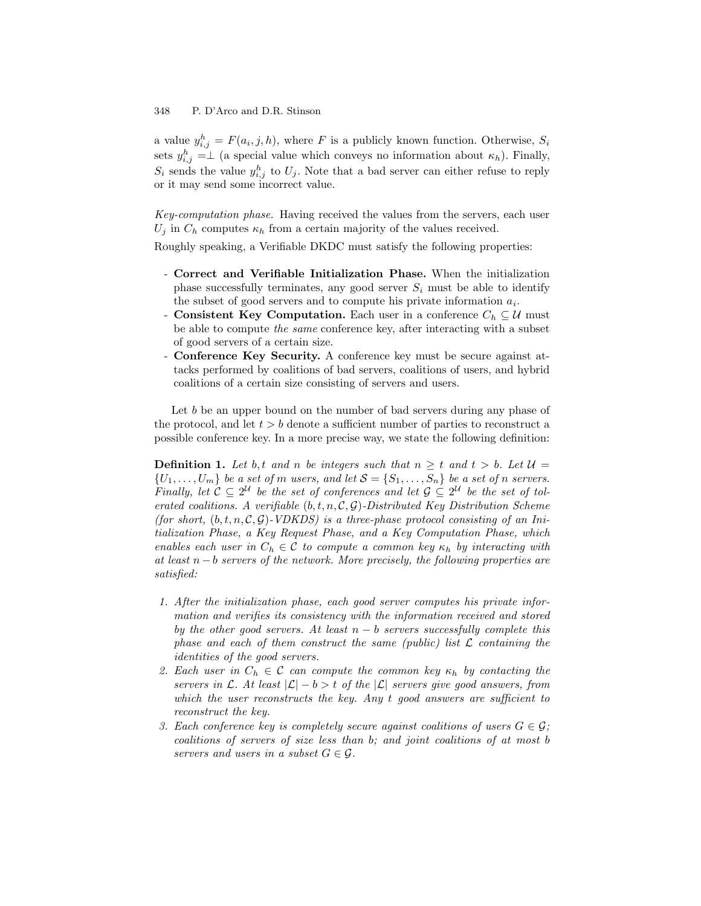a value  $y_{i,j}^h = F(a_i, j, h)$ , where F is a publicly known function. Otherwise,  $S_i$ sets  $y_{i,j}^h = \perp$  (a special value which conveys no information about  $\kappa_h$ ). Finally,  $S_i$  sends the value  $y_{i,j}^h$  to  $U_j$ . Note that a bad server can either refuse to reply or it may send some incorrect value.

Key-computation phase. Having received the values from the servers, each user  $U_i$  in  $C_h$  computes  $\kappa_h$  from a certain majority of the values received.

Roughly speaking, a Verifiable DKDC must satisfy the following properties:

- Correct and Verifiable Initialization Phase. When the initialization phase successfully terminates, any good server  $S_i$  must be able to identify the subset of good servers and to compute his private information  $a_i$ .
- Consistent Key Computation. Each user in a conference  $C_h \subseteq \mathcal{U}$  must be able to compute the same conference key, after interacting with a subset of good servers of a certain size.
- Conference Key Security. A conference key must be secure against attacks performed by coalitions of bad servers, coalitions of users, and hybrid coalitions of a certain size consisting of servers and users.

Let  $b$  be an upper bound on the number of bad servers during any phase of the protocol, and let  $t > b$  denote a sufficient number of parties to reconstruct a possible conference key. In a more precise way, we state the following definition:

**Definition 1.** Let b,t and n be integers such that  $n \geq t$  and  $t > b$ . Let  $\mathcal{U} =$  ${U_1, \ldots, U_m}$  be a set of m users, and let  $S = {S_1, \ldots, S_n}$  be a set of n servers. Finally, let  $\mathcal{C} \subseteq 2^{\mathcal{U}}$  be the set of conferences and let  $\mathcal{G} \subseteq 2^{\mathcal{U}}$  be the set of tolerated coalitions. A verifiable  $(b, t, n, C, G)$ -Distributed Key Distribution Scheme (for short,  $(b, t, n, \mathcal{C}, \mathcal{G})$ -VDKDS) is a three-phase protocol consisting of an Initialization Phase, a Key Request Phase, and a Key Computation Phase, which enables each user in  $C_h \in \mathcal{C}$  to compute a common key  $\kappa_h$  by interacting with at least  $n - b$  servers of the network. More precisely, the following properties are satisfied:

- 1. After the initialization phase, each good server computes his private information and verifies its consistency with the information received and stored by the other good servers. At least  $n - b$  servers successfully complete this phase and each of them construct the same (public) list  $\mathcal L$  containing the identities of the good servers.
- 2. Each user in  $C_h \in \mathcal{C}$  can compute the common key  $\kappa_h$  by contacting the servers in L. At least  $|\mathcal{L}| - b > t$  of the  $|\mathcal{L}|$  servers give good answers, from which the user reconstructs the key. Any  $t$  good answers are sufficient to reconstruct the key.
- 3. Each conference key is completely secure against coalitions of users  $G \in \mathcal{G}$ ; coalitions of servers of size less than b; and joint coalitions of at most b servers and users in a subset  $G \in \mathcal{G}$ .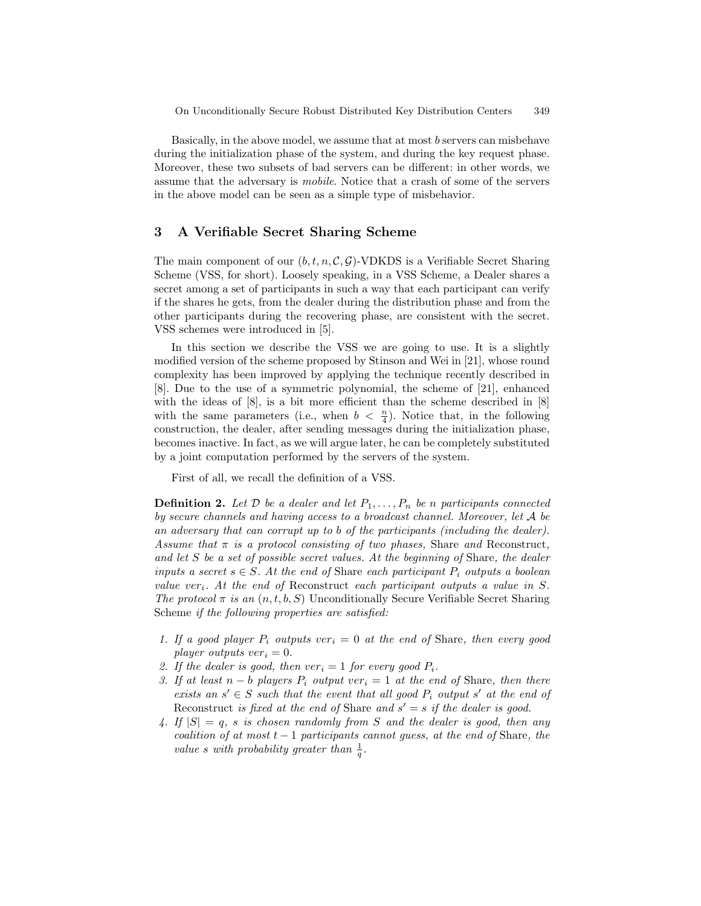Basically, in the above model, we assume that at most b servers can misbehave during the initialization phase of the system, and during the key request phase. Moreover, these two subsets of bad servers can be different: in other words, we assume that the adversary is mobile. Notice that a crash of some of the servers in the above model can be seen as a simple type of misbehavior.

# 3 A Verifiable Secret Sharing Scheme

The main component of our  $(b, t, n, \mathcal{C}, \mathcal{G})$ -VDKDS is a Verifiable Secret Sharing Scheme (VSS, for short). Loosely speaking, in a VSS Scheme, a Dealer shares a secret among a set of participants in such a way that each participant can verify if the shares he gets, from the dealer during the distribution phase and from the other participants during the recovering phase, are consistent with the secret. VSS schemes were introduced in [5].

In this section we describe the VSS we are going to use. It is a slightly modified version of the scheme proposed by Stinson and Wei in [21], whose round complexity has been improved by applying the technique recently described in [8]. Due to the use of a symmetric polynomial, the scheme of [21], enhanced with the ideas of  $[8]$ , is a bit more efficient than the scheme described in  $[8]$ with the same parameters (i.e., when  $b < \frac{n}{4}$ ). Notice that, in the following construction, the dealer, after sending messages during the initialization phase, becomes inactive. In fact, as we will argue later, he can be completely substituted by a joint computation performed by the servers of the system.

First of all, we recall the definition of a VSS.

**Definition 2.** Let  $D$  be a dealer and let  $P_1, \ldots, P_n$  be n participants connected by secure channels and having access to a broadcast channel. Moreover, let A be an adversary that can corrupt up to b of the participants (including the dealer). Assume that  $\pi$  is a protocol consisting of two phases, Share and Reconstruct, and let S be a set of possible secret values. At the beginning of Share, the dealer inputs a secret  $s \in S$ . At the end of Share each participant  $P_i$  outputs a boolean value ver<sub>i</sub>. At the end of Reconstruct each participant outputs a value in  $S$ . The protocol  $\pi$  is an  $(n,t,b,S)$  Unconditionally Secure Verifiable Secret Sharing Scheme *if the following properties are satisfied*:

- 1. If a good player  $P_i$  outputs ver<sub>i</sub> = 0 at the end of Share, then every good player outputs  $ver_i = 0$ .
- 2. If the dealer is good, then  $ver_i = 1$  for every good  $P_i$ .
- 3. If at least  $n b$  players  $P_i$  output ver $i = 1$  at the end of Share, then there exists an  $s' \in S$  such that the event that all good  $P_i$  output s' at the end of Reconstruct is fixed at the end of Share and  $s' = s$  if the dealer is good.
- 4. If  $|S| = q$ , s is chosen randomly from S and the dealer is good, then any coalition of at most  $t-1$  participants cannot guess, at the end of Share, the value s with probability greater than  $\frac{1}{q}$ .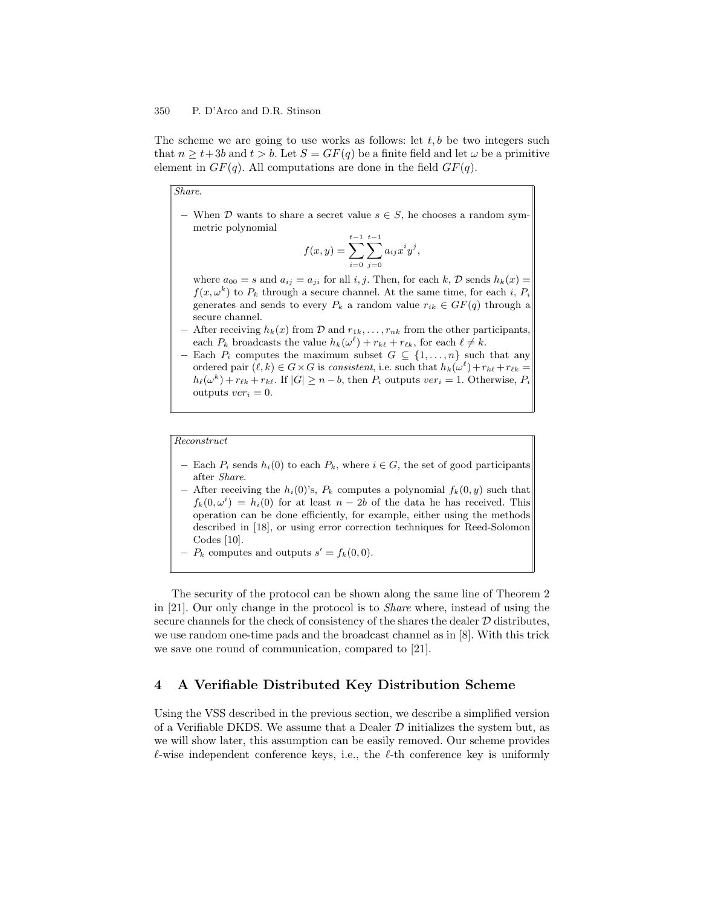The scheme we are going to use works as follows: let  $t, b$  be two integers such that  $n \geq t+3b$  and  $t > b$ . Let  $S = GF(q)$  be a finite field and let  $\omega$  be a primitive element in  $GF(q)$ . All computations are done in the field  $GF(q)$ .

### Share.

When  $\mathcal D$  wants to share a secret value  $s \in S$ , he chooses a random symmetric polynomial

$$
f(x,y) = \sum_{i=0}^{t-1} \sum_{j=0}^{t-1} a_{ij} x^i y^j,
$$

where  $a_{00} = s$  and  $a_{ij} = a_{ji}$  for all i, j. Then, for each k, D sends  $h_k(x) =$  $f(x, \omega^k)$  to  $P_k$  through a secure channel. At the same time, for each i,  $P_i$ generates and sends to every  $P_k$  a random value  $r_{ik} \in GF(q)$  through a secure channel.

- After receiving  $h_k(x)$  from  $\mathcal D$  and  $r_{1k}, \ldots, r_{nk}$  from the other participants, each  $P_k$  broadcasts the value  $h_k(\omega^\ell) + r_{k\ell} + r_{\ell k}$ , for each  $\ell \neq k$ .
- Each  $P_i$  computes the maximum subset  $G \subseteq \{1, \ldots, n\}$  such that any ordered pair  $(\ell, k) \in G \times G$  is consistent, i.e. such that  $h_k(\omega^{\ell}) + r_{k\ell} + r_{\ell k} =$  $h_{\ell}(\omega^k) + r_{\ell k} + r_{k\ell}$ . If  $|G| \geq n - b$ , then  $P_i$  outputs  $ver_i = 1$ . Otherwise,  $P_i$ outputs  $ver_i = 0$ .

# Reconstruct

- Each  $P_i$  sends  $h_i(0)$  to each  $P_k$ , where  $i \in G$ , the set of good participants after Share.
- After receiving the  $h_i(0)$ 's,  $P_k$  computes a polynomial  $f_k(0, y)$  such that  $f_k(0, \omega^i) = h_i(0)$  for at least  $n-2b$  of the data he has received. This operation can be done efficiently, for example, either using the methods described in [18], or using error correction techniques for Reed-Solomon Codes [10].
- $-P_k$  computes and outputs  $s' = f_k(0,0)$ .

The security of the protocol can be shown along the same line of Theorem 2 in [21]. Our only change in the protocol is to Share where, instead of using the secure channels for the check of consistency of the shares the dealer  $D$  distributes, we use random one-time pads and the broadcast channel as in [8]. With this trick we save one round of communication, compared to [21].

# 4 A Verifiable Distributed Key Distribution Scheme

Using the VSS described in the previous section, we describe a simplified version of a Verifiable DKDS. We assume that a Dealer  $\mathcal D$  initializes the system but, as we will show later, this assumption can be easily removed. Our scheme provides  $\ell$ -wise independent conference keys, i.e., the  $\ell$ -th conference key is uniformly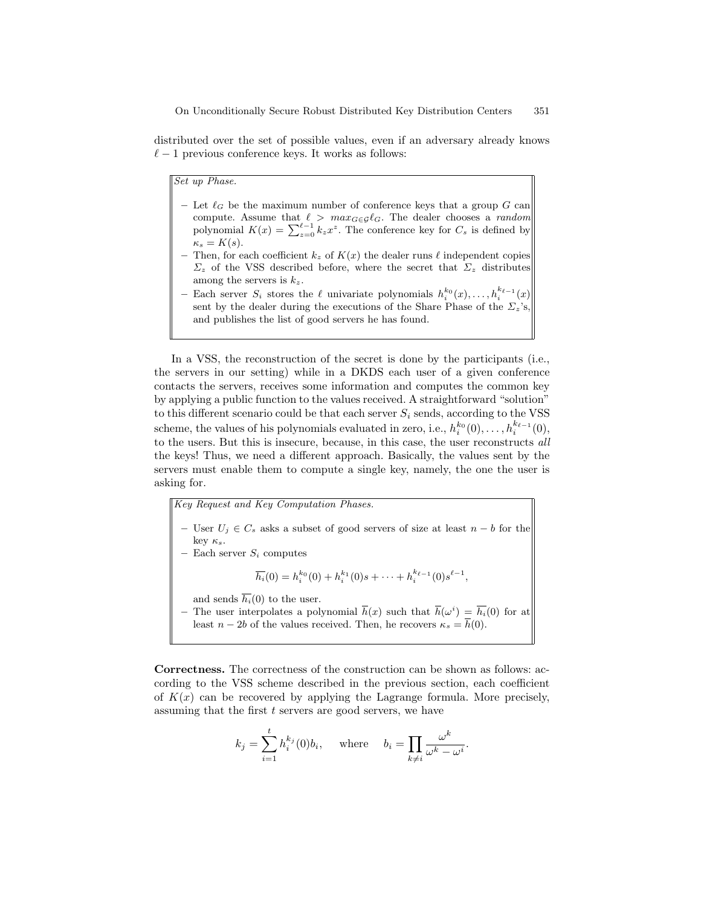distributed over the set of possible values, even if an adversary already knows  $\ell - 1$  previous conference keys. It works as follows:

Set up Phase.

- Let  $\ell_G$  be the maximum number of conference keys that a group G can compute. Assume that  $\ell > max_{G \in \mathcal{G}} \ell_G$ . The dealer chooses a *random* polynomial  $K(x) = \sum_{z=0}^{\ell-1} k_z x^z$ . The conference key for  $C_s$  is defined by  $\kappa_s = K(s).$
- Then, for each coefficient  $k_z$  of  $K(x)$  the dealer runs  $\ell$  independent copies  $\Sigma_z$  of the VSS described before, where the secret that  $\Sigma_z$  distributes among the servers is  $k_z$ .
- Each server  $S_i$  stores the  $\ell$  univariate polynomials  $h_i^{k_0}(x), \ldots, h_i^{k_{\ell-1}}(x)$ sent by the dealer during the executions of the Share Phase of the  $\Sigma_z$ 's, and publishes the list of good servers he has found.

In a VSS, the reconstruction of the secret is done by the participants (i.e., the servers in our setting) while in a DKDS each user of a given conference contacts the servers, receives some information and computes the common key by applying a public function to the values received. A straightforward "solution" to this different scenario could be that each server  $S_i$  sends, according to the VSS scheme, the values of his polynomials evaluated in zero, i.e.,  $h_i^{k_0}(0), \ldots, h_i^{k_{\ell-1}}(0)$ , to the users. But this is insecure, because, in this case, the user reconstructs all the keys! Thus, we need a different approach. Basically, the values sent by the servers must enable them to compute a single key, namely, the one the user is asking for.

Key Request and Key Computation Phases.

- User  $U_j$  ∈  $C_s$  asks a subset of good servers of size at least  $n b$  for the key  $\kappa_s$ .
- Each server  $S_i$  computes

$$
\overline{h_i}(0) = h_i^{k_0}(0) + h_i^{k_1}(0)s + \cdots + h_i^{k_{\ell-1}}(0)s^{\ell-1},
$$

- and sends  $\overline{h_i}(0)$  to the user.
- The user interpolates a polynomial  $\overline{h}(x)$  such that  $\overline{h}(\omega^i) = \overline{h_i}(0)$  for at least  $n - 2b$  of the values received. Then, he recovers  $\kappa_s = \overline{h}(0)$ .

Correctness. The correctness of the construction can be shown as follows: according to the VSS scheme described in the previous section, each coefficient of  $K(x)$  can be recovered by applying the Lagrange formula. More precisely, assuming that the first  $t$  servers are good servers, we have

$$
k_j = \sum_{i=1}^t h_i^{k_j}(0)b_i, \quad \text{where} \quad b_i = \prod_{k \neq i} \frac{\omega^k}{\omega^k - \omega^i}.
$$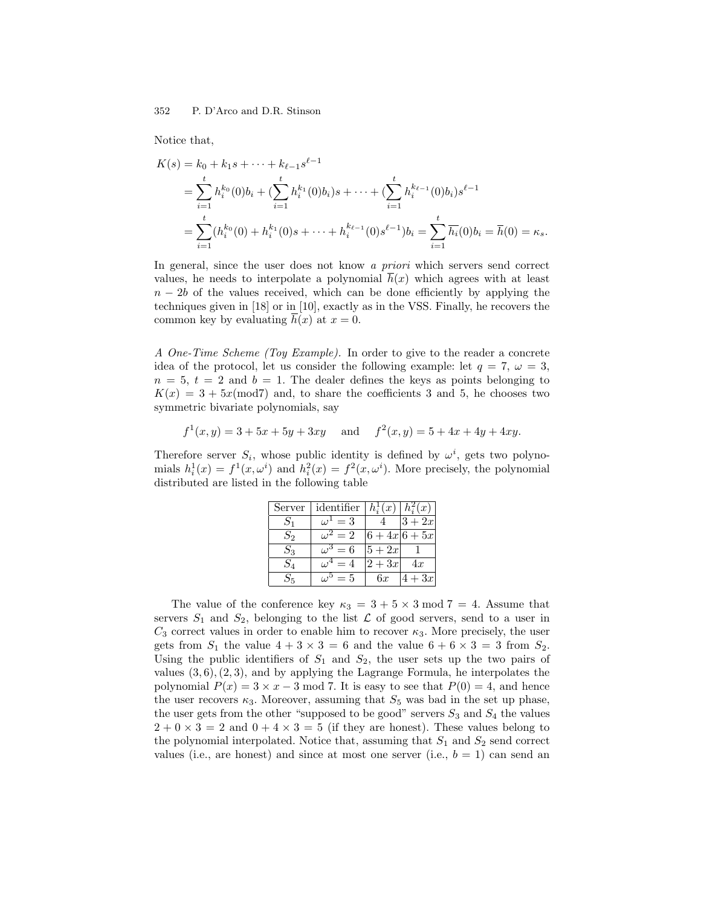Notice that,

$$
K(s) = k_0 + k_1 s + \dots + k_{\ell-1} s^{\ell-1}
$$
  
= 
$$
\sum_{i=1}^t h_i^{k_0}(0)b_i + (\sum_{i=1}^t h_i^{k_1}(0)b_i)s + \dots + (\sum_{i=1}^t h_i^{k_{\ell-1}}(0)b_i)s^{\ell-1}
$$
  
= 
$$
\sum_{i=1}^t (h_i^{k_0}(0) + h_i^{k_1}(0)s + \dots + h_i^{k_{\ell-1}}(0)s^{\ell-1})b_i = \sum_{i=1}^t \overline{h_i}(0)b_i = \overline{h}(0) = \kappa_s.
$$

In general, since the user does not know a *priori* which servers send correct values, he needs to interpolate a polynomial  $\overline{h}(x)$  which agrees with at least  $n-2b$  of the values received, which can be done efficiently by applying the techniques given in [18] or in [10], exactly as in the VSS. Finally, he recovers the common key by evaluating  $\overline{h}(x)$  at  $x = 0$ .

A One-Time Scheme (Toy Example). In order to give to the reader a concrete idea of the protocol, let us consider the following example: let  $q = 7$ ,  $\omega = 3$ ,  $n = 5$ ,  $t = 2$  and  $b = 1$ . The dealer defines the keys as points belonging to  $K(x) = 3 + 5x \pmod{7}$  and, to share the coefficients 3 and 5, he chooses two symmetric bivariate polynomials, say

$$
f^1(x, y) = 3 + 5x + 5y + 3xy
$$
 and  $f^2(x, y) = 5 + 4x + 4y + 4xy$ .

Therefore server  $S_i$ , whose public identity is defined by  $\omega^i$ , gets two polynomials  $h_i^1(x) = f^1(x, \omega^i)$  and  $h_i^2(x) = f^2(x, \omega^i)$ . More precisely, the polynomial distributed are listed in the following table

| Server | identifier                  | $h_i^1(x)$ | $h_i^2(x)$        |
|--------|-----------------------------|------------|-------------------|
|        | $\omega^{\text{\tiny I}}=3$ |            | $+2x$             |
| $S_2$  | $=2$                        |            | $6 + 4x + 6 + 5x$ |
| $S_3$  | $\omega^3=6$                | $5+2x$     |                   |
| $S_4$  |                             | $2+3x$     | 4x                |
|        | , 5<br>= 5                  | 6x         | 3x                |

The value of the conference key  $\kappa_3 = 3 + 5 \times 3 \text{ mod } 7 = 4$ . Assume that servers  $S_1$  and  $S_2$ , belonging to the list  $\mathcal L$  of good servers, send to a user in  $C_3$  correct values in order to enable him to recover  $\kappa_3$ . More precisely, the user gets from  $S_1$  the value  $4 + 3 \times 3 = 6$  and the value  $6 + 6 \times 3 = 3$  from  $S_2$ . Using the public identifiers of  $S_1$  and  $S_2$ , the user sets up the two pairs of values  $(3, 6), (2, 3)$ , and by applying the Lagrange Formula, he interpolates the polynomial  $P(x) = 3 \times x - 3 \text{ mod } 7$ . It is easy to see that  $P(0) = 4$ , and hence the user recovers  $\kappa_3$ . Moreover, assuming that  $S_5$  was bad in the set up phase, the user gets from the other "supposed to be good" servers  $S_3$  and  $S_4$  the values  $2 + 0 \times 3 = 2$  and  $0 + 4 \times 3 = 5$  (if they are honest). These values belong to the polynomial interpolated. Notice that, assuming that  $S_1$  and  $S_2$  send correct values (i.e., are honest) and since at most one server (i.e.,  $b = 1$ ) can send an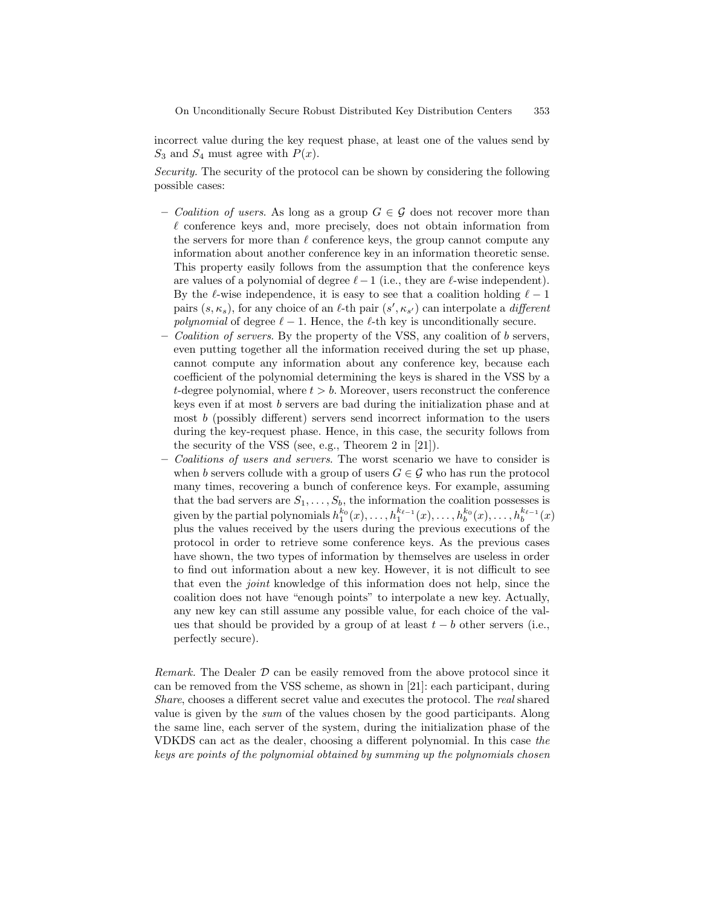incorrect value during the key request phase, at least one of the values send by  $S_3$  and  $S_4$  must agree with  $P(x)$ .

Security. The security of the protocol can be shown by considering the following possible cases:

- Coalition of users. As long as a group  $G \in \mathcal{G}$  does not recover more than  $\ell$  conference keys and, more precisely, does not obtain information from the servers for more than  $\ell$  conference keys, the group cannot compute any information about another conference key in an information theoretic sense. This property easily follows from the assumption that the conference keys are values of a polynomial of degree  $\ell-1$  (i.e., they are  $\ell$ -wise independent). By the  $\ell$ -wise independence, it is easy to see that a coalition holding  $\ell - 1$ pairs  $(s, \kappa_s)$ , for any choice of an  $\ell$ -th pair  $(s', \kappa_{s'})$  can interpolate a *different* polynomial of degree  $\ell - 1$ . Hence, the  $\ell$ -th key is unconditionally secure.
- Coalition of servers. By the property of the VSS, any coalition of b servers, even putting together all the information received during the set up phase, cannot compute any information about any conference key, because each coefficient of the polynomial determining the keys is shared in the VSS by a  $t$ -degree polynomial, where  $t > b$ . Moreover, users reconstruct the conference keys even if at most b servers are bad during the initialization phase and at most  $b$  (possibly different) servers send incorrect information to the users during the key-request phase. Hence, in this case, the security follows from the security of the VSS (see, e.g., Theorem 2 in [21]).
- Coalitions of users and servers. The worst scenario we have to consider is when b servers collude with a group of users  $G \in \mathcal{G}$  who has run the protocol many times, recovering a bunch of conference keys. For example, assuming that the bad servers are  $S_1, \ldots, S_b$ , the information the coalition possesses is given by the partial polynomials  $h_1^{k_0}(x), \ldots, h_1^{k_{\ell-1}}(x), \ldots, h_b^{k_0}(x), \ldots, h_b^{k_{\ell-1}}(x)$ plus the values received by the users during the previous executions of the protocol in order to retrieve some conference keys. As the previous cases have shown, the two types of information by themselves are useless in order to find out information about a new key. However, it is not difficult to see that even the joint knowledge of this information does not help, since the coalition does not have "enough points" to interpolate a new key. Actually, any new key can still assume any possible value, for each choice of the values that should be provided by a group of at least  $t - b$  other servers (i.e., perfectly secure).

Remark. The Dealer  $D$  can be easily removed from the above protocol since it can be removed from the VSS scheme, as shown in [21]: each participant, during Share, chooses a different secret value and executes the protocol. The real shared value is given by the sum of the values chosen by the good participants. Along the same line, each server of the system, during the initialization phase of the VDKDS can act as the dealer, choosing a different polynomial. In this case the keys are points of the polynomial obtained by summing up the polynomials chosen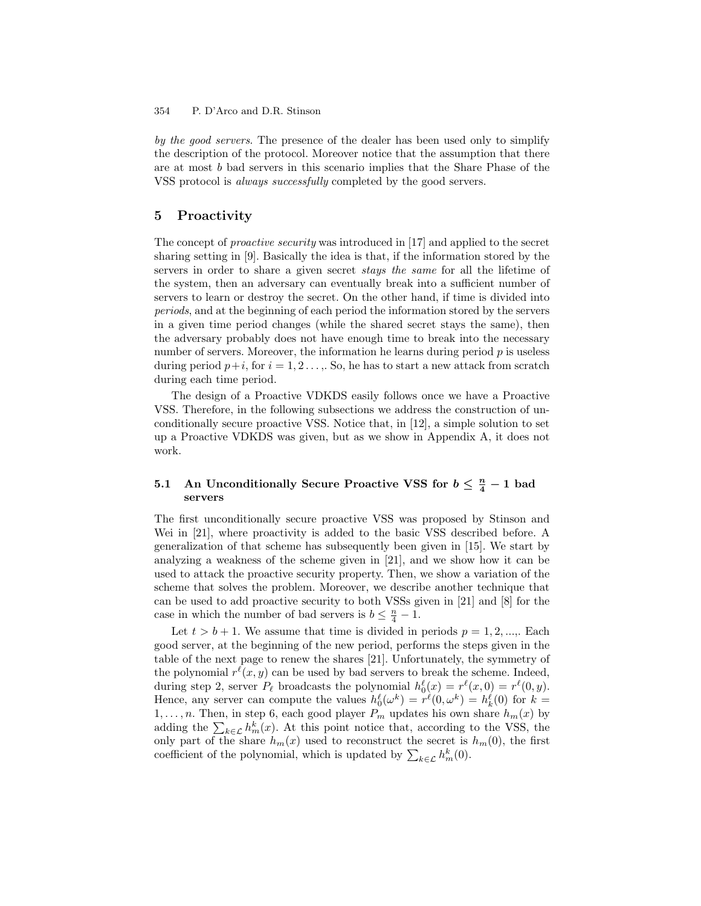by the good servers. The presence of the dealer has been used only to simplify the description of the protocol. Moreover notice that the assumption that there are at most b bad servers in this scenario implies that the Share Phase of the VSS protocol is always successfully completed by the good servers.

# 5 Proactivity

The concept of proactive security was introduced in [17] and applied to the secret sharing setting in [9]. Basically the idea is that, if the information stored by the servers in order to share a given secret stays the same for all the lifetime of the system, then an adversary can eventually break into a sufficient number of servers to learn or destroy the secret. On the other hand, if time is divided into periods, and at the beginning of each period the information stored by the servers in a given time period changes (while the shared secret stays the same), then the adversary probably does not have enough time to break into the necessary number of servers. Moreover, the information he learns during period  $p$  is useless during period  $p+i$ , for  $i = 1, 2, \ldots$ , So, he has to start a new attack from scratch during each time period.

The design of a Proactive VDKDS easily follows once we have a Proactive VSS. Therefore, in the following subsections we address the construction of unconditionally secure proactive VSS. Notice that, in [12], a simple solution to set up a Proactive VDKDS was given, but as we show in Appendix A, it does not work.

# 5.1 An Unconditionally Secure Proactive VSS for  $b \leq \frac{n}{4} - 1$  bad servers

The first unconditionally secure proactive VSS was proposed by Stinson and Wei in [21], where proactivity is added to the basic VSS described before. A generalization of that scheme has subsequently been given in [15]. We start by analyzing a weakness of the scheme given in [21], and we show how it can be used to attack the proactive security property. Then, we show a variation of the scheme that solves the problem. Moreover, we describe another technique that can be used to add proactive security to both VSSs given in [21] and [8] for the case in which the number of bad servers is  $b \leq \frac{n}{4} - 1$ .

Let  $t > b + 1$ . We assume that time is divided in periods  $p = 1, 2, \dots$ . Each good server, at the beginning of the new period, performs the steps given in the table of the next page to renew the shares [21]. Unfortunately, the symmetry of the polynomial  $r^{\ell}(x, y)$  can be used by bad servers to break the scheme. Indeed, during step 2, server  $P_\ell$  broadcasts the polynomial  $h_0^\ell(x) = r^\ell(x, 0) = r^\ell(0, y)$ . Hence, any server can compute the values  $h_0^{\ell}(\omega^k) = r^{\ell}(0, \omega^k) = h_k^{\ell}(0)$  for  $k =$  $1, \ldots, n$ . Then, in step 6, each good player  $P_m$  updates his own share  $h_m(x)$  by adding the  $\sum_{k\in\mathcal{L}} h_m^k(x)$ . At this point notice that, according to the VSS, the only part of the share  $h_m(x)$  used to reconstruct the secret is  $h_m(0)$ , the first coefficient of the polynomial, which is updated by  $\sum_{k \in \mathcal{L}} h_m^k(0)$ .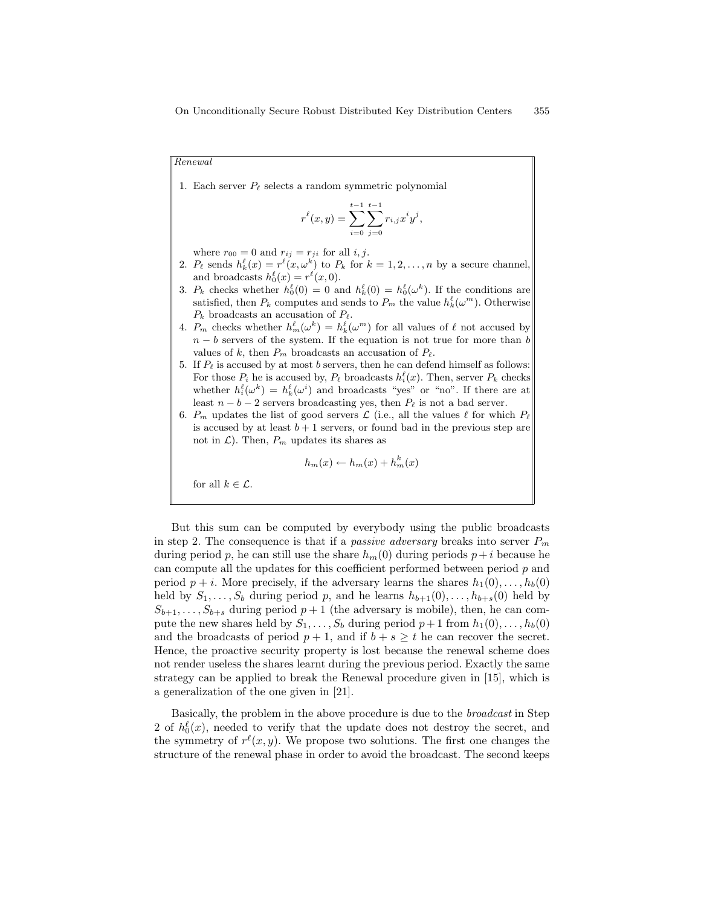Renewal

1. Each server  $P_\ell$  selects a random symmetric polynomial

$$
r^{\ell}(x,y) = \sum_{i=0}^{t-1} \sum_{j=0}^{t-1} r_{i,j} x^{i} y^{j},
$$

where  $r_{00} = 0$  and  $r_{ij} = r_{ji}$  for all i, j.

- 2.  $P_\ell$  sends  $h_k^{\ell}(x) = r^{\ell}(x, \omega^k)$  to  $P_k$  for  $k = 1, 2, ..., n$  by a secure channel, and broadcasts  $h_0^{\ell}(x) = r^{\ell}(x, 0)$ .
- 3.  $P_k$  checks whether  $h_0^{\ell}(0) = 0$  and  $h_k^{\ell}(0) = h_0^{\ell}(\omega^k)$ . If the conditions are satisfied, then  $P_k$  computes and sends to  $P_m$  the value  $h_k^{\ell}(\omega^m)$ . Otherwise  $P_k$  broadcasts an accusation of  $P_\ell$ .
- 4.  $P_m$  checks whether  $h_m^{\ell}(\omega^k) = h_k^{\ell}(\omega^m)$  for all values of  $\ell$  not accused by  $n - b$  servers of the system. If the equation is not true for more than b values of k, then  $P_m$  broadcasts an accusation of  $P_\ell$ .
- 5. If  $P_\ell$  is accused by at most b servers, then he can defend himself as follows: For those  $P_i$  he is accused by,  $P_\ell$  broadcasts  $h_i^{\ell}(x)$ . Then, server  $P_k$  checks whether  $h_i^{\ell}(\omega^k) = h_k^{\ell}(\omega^i)$  and broadcasts "yes" or "no". If there are at least  $n - b - 2$  servers broadcasting yes, then  $P_\ell$  is not a bad server.
- 6.  $P_m$  updates the list of good servers  $\mathcal L$  (i.e., all the values  $\ell$  for which  $P_\ell$ is accused by at least  $b + 1$  servers, or found bad in the previous step are not in  $\mathcal{L}$ ). Then,  $P_m$  updates its shares as

$$
h_m(x) \leftarrow h_m(x) + h_m^k(x)
$$

for all  $k \in \mathcal{L}$ .

But this sum can be computed by everybody using the public broadcasts in step 2. The consequence is that if a *passive adversary* breaks into server  $P_m$ during period p, he can still use the share  $h_m(0)$  during periods  $p+i$  because he can compute all the updates for this coefficient performed between period p and period  $p + i$ . More precisely, if the adversary learns the shares  $h_1(0), \ldots, h_b(0)$ held by  $S_1, \ldots, S_b$  during period p, and he learns  $h_{b+1}(0), \ldots, h_{b+s}(0)$  held by  $S_{b+1}, \ldots, S_{b+s}$  during period  $p+1$  (the adversary is mobile), then, he can compute the new shares held by  $S_1, \ldots, S_b$  during period  $p+1$  from  $h_1(0), \ldots, h_b(0)$ and the broadcasts of period  $p + 1$ , and if  $b + s \geq t$  he can recover the secret. Hence, the proactive security property is lost because the renewal scheme does not render useless the shares learnt during the previous period. Exactly the same strategy can be applied to break the Renewal procedure given in [15], which is a generalization of the one given in [21].

Basically, the problem in the above procedure is due to the broadcast in Step 2 of  $h_0^{\ell}(x)$ , needed to verify that the update does not destroy the secret, and the symmetry of  $r^{\ell}(x, y)$ . We propose two solutions. The first one changes the structure of the renewal phase in order to avoid the broadcast. The second keeps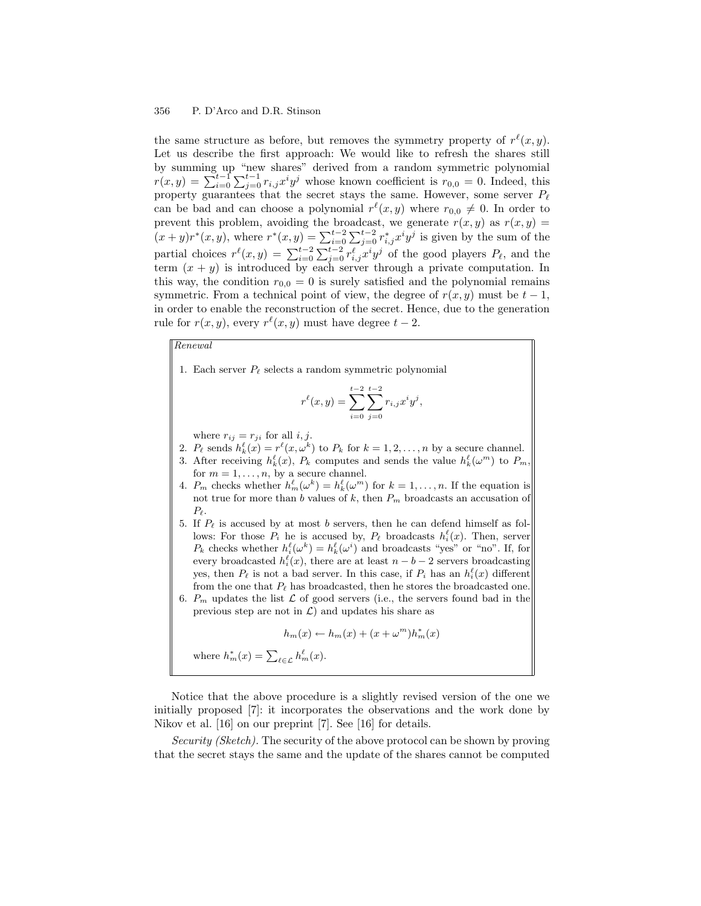the same structure as before, but removes the symmetry property of  $r^{\ell}(x, y)$ . Let us describe the first approach: We would like to refresh the shares still by summing up "new shares" derived from a random symmetric polynomial  $r(x,y) = \sum_{i=0}^{t-1} \sum_{j=0}^{t-1} r_{i,j} x^i y^j$  whose known coefficient is  $r_{0,0} = 0$ . Indeed, this property guarantees that the secret stays the same. However, some server  $P_\ell$ can be bad and can choose a polynomial  $r^{\ell}(x, y)$  where  $r_{0,0} \neq 0$ . In order to prevent this problem, avoiding the broadcast, we generate  $r(x, y)$  as  $r(x, y)$  $(x + y)r^{*}(x, y)$ , where  $r^{*}(x, y) = \sum_{i=0}^{t-2} \sum_{j=0}^{t-2} r^{*}_{i,j} x^{i}y^{j}$  is given by the sum of the partial choices  $r^{\ell}(x,y) = \sum_{i=0}^{t-2} \sum_{j=0}^{t-2} r^{\ell}_{i,j} x^i y^j$  of the good players  $P_{\ell}$ , and the term  $(x + y)$  is introduced by each server through a private computation. In this way, the condition  $r_{0,0} = 0$  is surely satisfied and the polynomial remains symmetric. From a technical point of view, the degree of  $r(x, y)$  must be  $t - 1$ , in order to enable the reconstruction of the secret. Hence, due to the generation rule for  $r(x, y)$ , every  $r^{\ell}(x, y)$  must have degree  $t - 2$ .

Renewal

1. Each server  $P_\ell$  selects a random symmetric polynomial

$$
r^{\ell}(x,y) = \sum_{i=0}^{t-2} \sum_{j=0}^{t-2} r_{i,j} x^{i} y^{j},
$$

where  $r_{ij} = r_{ji}$  for all  $i, j$ .

- 2.  $P_\ell$  sends  $h_k^{\ell}(x) = r^{\ell}(x, \omega^k)$  to  $P_k$  for  $k = 1, 2, ..., n$  by a secure channel.
- 3. After receiving  $h_k^{\ell}(x)$ ,  $P_k$  computes and sends the value  $h_k^{\ell}(\omega^m)$  to  $P_m$ , for  $m = 1, \ldots, n$ , by a secure channel.
- 4.  $P_m$  checks whether  $h_m^{\ell}(\omega^k) = h_k^{\ell}(\omega^m)$  for  $k = 1, \ldots, n$ . If the equation is not true for more than b values of k, then  $P_m$  broadcasts an accusation of  $P_{\ell}$ .
- 5. If  $P_\ell$  is accused by at most b servers, then he can defend himself as follows: For those  $P_i$  he is accused by,  $P_\ell$  broadcasts  $h_i^{\ell}(x)$ . Then, server  $P_k$  checks whether  $h_i^{\ell}(\omega^k) = h_k^{\ell}(\omega^i)$  and broadcasts "yes" or "no". If, for every broadcasted  $h_i^{\ell}(x)$ , there are at least  $n - b - 2$  servers broadcasting yes, then  $P_\ell$  is not a bad server. In this case, if  $P_i$  has an  $h_i^{\ell}(x)$  different from the one that  $P_\ell$  has broadcasted, then he stores the broadcasted one.
- 6.  $P_m$  updates the list  $\mathcal L$  of good servers (i.e., the servers found bad in the previous step are not in  $\mathcal{L}$ ) and updates his share as

$$
h_m(x) \leftarrow h_m(x) + (x + \omega^m)h_m^*(x)
$$

where 
$$
h_m^*(x) = \sum_{\ell \in \mathcal{L}} h_m^{\ell}(x)
$$
.

Notice that the above procedure is a slightly revised version of the one we initially proposed [7]: it incorporates the observations and the work done by Nikov et al. [16] on our preprint [7]. See [16] for details.

Security (Sketch). The security of the above protocol can be shown by proving that the secret stays the same and the update of the shares cannot be computed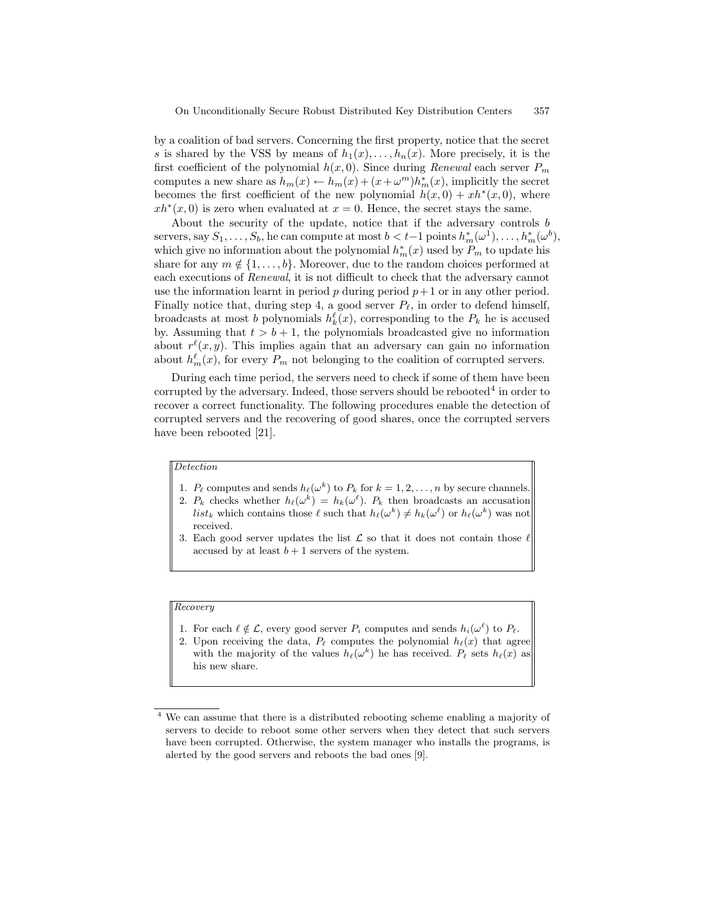by a coalition of bad servers. Concerning the first property, notice that the secret s is shared by the VSS by means of  $h_1(x), \ldots, h_n(x)$ . More precisely, it is the first coefficient of the polynomial  $h(x, 0)$ . Since during Renewal each server  $P_m$ computes a new share as  $h_m(x) \leftarrow h_m(x) + (x + \omega^m)h_m^*(x)$ , implicitly the secret becomes the first coefficient of the new polynomial  $h(x, 0) + xh^*(x, 0)$ , where  $x h^*(x,0)$  is zero when evaluated at  $x=0$ . Hence, the secret stays the same.

About the security of the update, notice that if the adversary controls b servers, say  $S_1, \ldots, S_b$ , he can compute at most  $b < t-1$  points  $h_m^*(\omega^1), \ldots, h_m^*(\omega^b)$ , which give no information about the polynomial  $h_m^*(x)$  used by  $P_m$  to update his share for any  $m \notin \{1, \ldots, b\}$ . Moreover, due to the random choices performed at each executions of Renewal, it is not difficult to check that the adversary cannot use the information learnt in period  $p$  during period  $p+1$  or in any other period. Finally notice that, during step 4, a good server  $P_\ell$ , in order to defend himself, broadcasts at most b polynomials  $h_k^{\ell}(x)$ , corresponding to the  $P_k$  he is accused by. Assuming that  $t > b + 1$ , the polynomials broadcasted give no information about  $r^{\ell}(x, y)$ . This implies again that an adversary can gain no information about  $h_m^{\ell}(x)$ , for every  $P_m$  not belonging to the coalition of corrupted servers.

During each time period, the servers need to check if some of them have been corrupted by the adversary. Indeed, those servers should be rebooted<sup>4</sup> in order to recover a correct functionality. The following procedures enable the detection of corrupted servers and the recovering of good shares, once the corrupted servers have been rebooted [21].

#### Detection

- 1.  $P_\ell$  computes and sends  $h_\ell(\omega^k)$  to  $P_k$  for  $k = 1, 2, ..., n$  by secure channels.
- 2.  $P_k$  checks whether  $h_\ell(\omega^k) = h_k(\omega^\ell)$ .  $P_k$  then broadcasts an accusation  $list_k$  which contains those  $\ell$  such that  $h_\ell(\omega^k) \neq h_k(\omega^{\ell})$  or  $h_\ell(\omega^k)$  was not received.
- 3. Each good server updates the list  $\mathcal L$  so that it does not contain those  $\ell$ accused by at least  $b + 1$  servers of the system.

#### Recovery

- 1. For each  $\ell \notin \mathcal{L}$ , every good server  $P_i$  computes and sends  $h_i(\omega^{\ell})$  to  $P_{\ell}$ .
- 2. Upon receiving the data,  $P_\ell$  computes the polynomial  $h_\ell(x)$  that agree with the majority of the values  $h_{\ell}(\omega^{k})$  he has received.  $P_{\ell}$  sets  $h_{\ell}(x)$  as his new share.

<sup>4</sup> We can assume that there is a distributed rebooting scheme enabling a majority of servers to decide to reboot some other servers when they detect that such servers have been corrupted. Otherwise, the system manager who installs the programs, is alerted by the good servers and reboots the bad ones [9].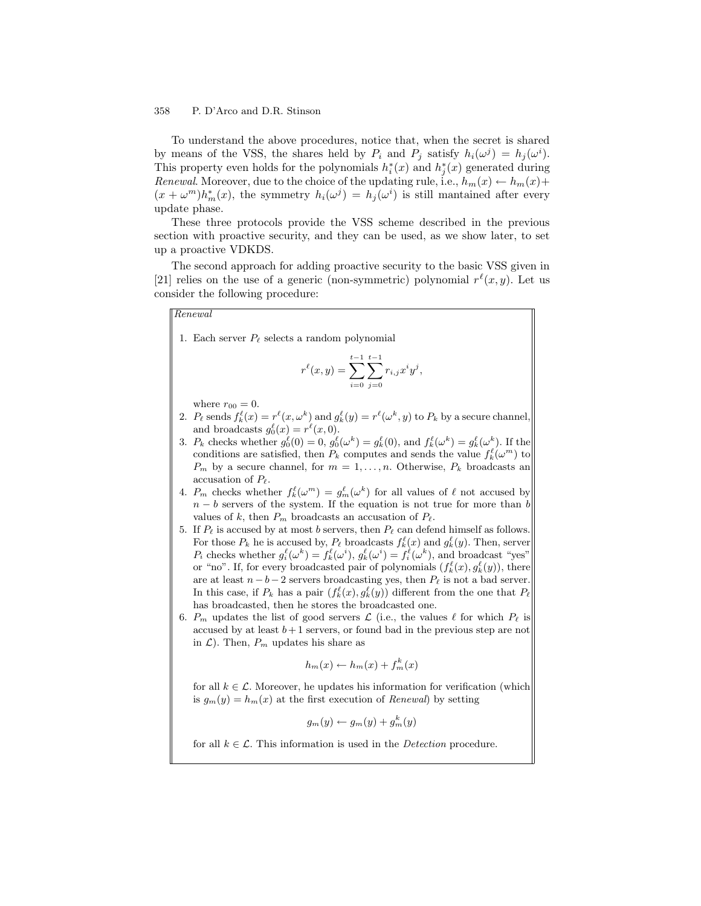To understand the above procedures, notice that, when the secret is shared by means of the VSS, the shares held by  $P_i$  and  $P_j$  satisfy  $h_i(\omega^j) = h_j(\omega^i)$ . This property even holds for the polynomials  $h_i^*(x)$  and  $h_j^*(x)$  generated during Renewal. Moreover, due to the choice of the updating rule, i.e.,  $h_m(x) \leftarrow h_m(x) +$  $(x + \omega^m)h_m^*(x)$ , the symmetry  $h_i(\omega^j) = h_j(\omega^i)$  is still mantained after every update phase.

These three protocols provide the VSS scheme described in the previous section with proactive security, and they can be used, as we show later, to set up a proactive VDKDS.

The second approach for adding proactive security to the basic VSS given in [21] relies on the use of a generic (non-symmetric) polynomial  $r^{\ell}(x, y)$ . Let us consider the following procedure:

Renewal

1. Each server  $P_\ell$  selects a random polynomial

$$
r^{\ell}(x,y) = \sum_{i=0}^{t-1} \sum_{j=0}^{t-1} r_{i,j} x^{i} y^{j}
$$

,

where  $r_{00} = 0$ .

- 2.  $P_\ell$  sends  $f_k^{\ell}(x) = r^{\ell}(x, \omega^k)$  and  $g_k^{\ell}(y) = r^{\ell}(\omega^k, y)$  to  $P_k$  by a secure channel, and broadcasts  $g_0^{\ell}(x) = r^{\ell}(x, 0)$ .
- 3.  $P_k$  checks whether  $g_0^{\ell}(0) = 0$ ,  $g_0^{\ell}(\omega^k) = g_k^{\ell}(0)$ , and  $f_k^{\ell}(\omega^k) = g_k^{\ell}(\omega^k)$ . If the conditions are satisfied, then  $P_k$  computes and sends the value  $f_k^{\ell}(\omega^m)$  to  $P_m$  by a secure channel, for  $m = 1, \ldots, n$ . Otherwise,  $P_k$  broadcasts an accusation of  $P_{\ell}$ .
- 4.  $P_m$  checks whether  $f_k^{\ell}(\omega^m) = g_m^{\ell}(\omega^k)$  for all values of  $\ell$  not accused by  $n - b$  servers of the system. If the equation is not true for more than b values of k, then  $P_m$  broadcasts an accusation of  $P_\ell$ .
- 5. If  $P_\ell$  is accused by at most b servers, then  $P_\ell$  can defend himself as follows. For those  $P_k$  he is accused by,  $P_\ell$  broadcasts  $f_k^{\ell}(x)$  and  $g_k^{\ell}(y)$ . Then, server  $P_i$  checks whether  $g_i^{\ell}(\omega^k) = f_k^{\ell}(\omega^i), g_k^{\ell}(\omega^i) = f_i^{\ell}(\omega^k)$ , and broadcast "yes" or "no". If, for every broadcasted pair of polynomials  $(f_k^{\ell}(x), g_k^{\ell}(y))$ , there are at least  $n-b-2$  servers broadcasting yes, then  $P_\ell$  is not a bad server. In this case, if  $P_k$  has a pair  $(f_k^{\ell}(x), g_k^{\ell}(y))$  different from the one that  $P_{\ell}$ has broadcasted, then he stores the broadcasted one.
- 6.  $P_m$  updates the list of good servers  $\mathcal L$  (i.e., the values  $\ell$  for which  $P_\ell$  is accused by at least  $b+1$  servers, or found bad in the previous step are not in  $\mathcal{L}$ ). Then,  $P_m$  updates his share as

$$
h_m(x) \leftarrow h_m(x) + f_m^k(x)
$$

for all  $k \in \mathcal{L}$ . Moreover, he updates his information for verification (which is  $g_m(y) = h_m(x)$  at the first execution of *Renewal*) by setting

$$
g_m(y) \leftarrow g_m(y) + g_m^k(y)
$$

for all  $k \in \mathcal{L}$ . This information is used in the *Detection* procedure.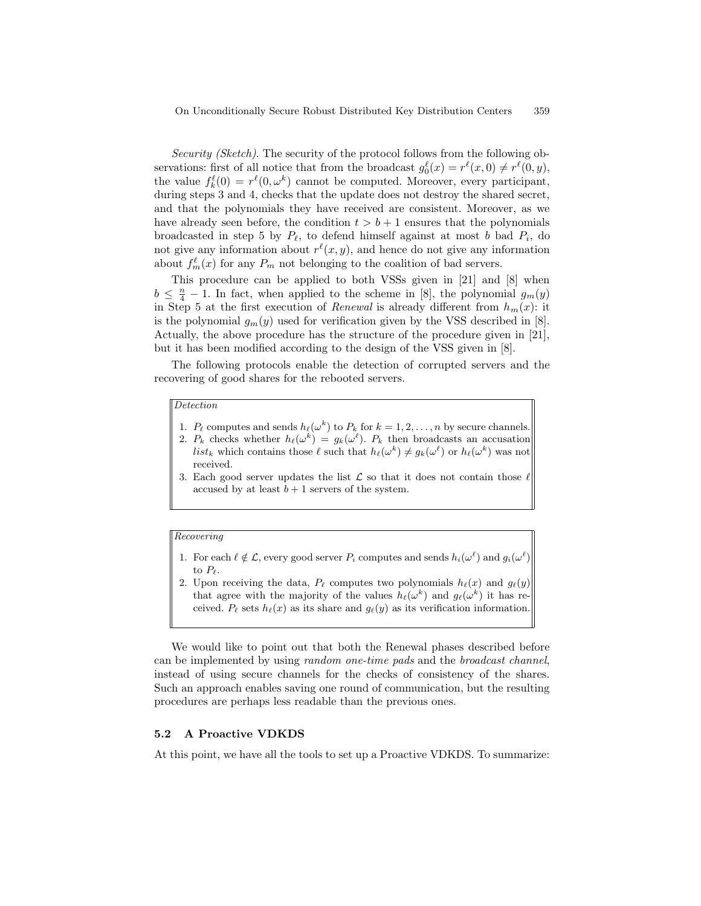Security (Sketch). The security of the protocol follows from the following observations: first of all notice that from the broadcast  $g_0^{\ell}(x) = r^{\ell}(x,0) \neq r^{\ell}(0,y)$ , the value  $f_k^{\ell}(0) = r^{\ell}(0, \omega^k)$  cannot be computed. Moreover, every participant, during steps 3 and 4, checks that the update does not destroy the shared secret, and that the polynomials they have received are consistent. Moreover, as we have already seen before, the condition  $t > b + 1$  ensures that the polynomials broadcasted in step 5 by  $P_\ell$ , to defend himself against at most b bad  $P_i$ , do not give any information about  $r^{\ell}(x, y)$ , and hence do not give any information about  $f_m^{\ell}(x)$  for any  $P_m$  not belonging to the coalition of bad servers.

This procedure can be applied to both VSSs given in [21] and [8] when  $b \leq \frac{n}{4} - 1$ . In fact, when applied to the scheme in [8], the polynomial  $g_m(y)$ in Step 5 at the first execution of Renewal is already different from  $h_m(x)$ : it is the polynomial  $g_m(y)$  used for verification given by the VSS described in [8]. Actually, the above procedure has the structure of the procedure given in [21], but it has been modified according to the design of the VSS given in [8].

The following protocols enable the detection of corrupted servers and the recovering of good shares for the rebooted servers.

## Detection

- 1.  $P_\ell$  computes and sends  $h_\ell(\omega^k)$  to  $P_k$  for  $k = 1, 2, ..., n$  by secure channels.
- 2.  $P_k$  checks whether  $h_\ell(\omega^k) = g_k(\omega^\ell)$ .  $P_k$  then broadcasts an accusation  $list_k$  which contains those  $\ell$  such that  $h_{\ell}(\omega^k) \neq g_k(\omega^{\ell})$  or  $h_{\ell}(\omega^k)$  was not received.
- 3. Each good server updates the list  $\mathcal L$  so that it does not contain those  $\ell$ accused by at least  $b + 1$  servers of the system.

#### Recovering

- 1. For each  $\ell \notin \mathcal{L}$ , every good server  $P_i$  computes and sends  $h_i(\omega^{\ell})$  and  $g_i(\omega^{\ell})$ to  $P_{\ell}$ .
- 2. Upon receiving the data,  $P_\ell$  computes two polynomials  $h_\ell(x)$  and  $g_\ell(y)$ that agree with the majority of the values  $h_{\ell}(\omega^k)$  and  $g_{\ell}(\omega^k)$  it has received.  $P_\ell$  sets  $h_\ell(x)$  as its share and  $g_\ell(y)$  as its verification information.

We would like to point out that both the Renewal phases described before can be implemented by using random one-time pads and the broadcast channel, instead of using secure channels for the checks of consistency of the shares. Such an approach enables saving one round of communication, but the resulting procedures are perhaps less readable than the previous ones.

### 5.2 A Proactive VDKDS

At this point, we have all the tools to set up a Proactive VDKDS. To summarize: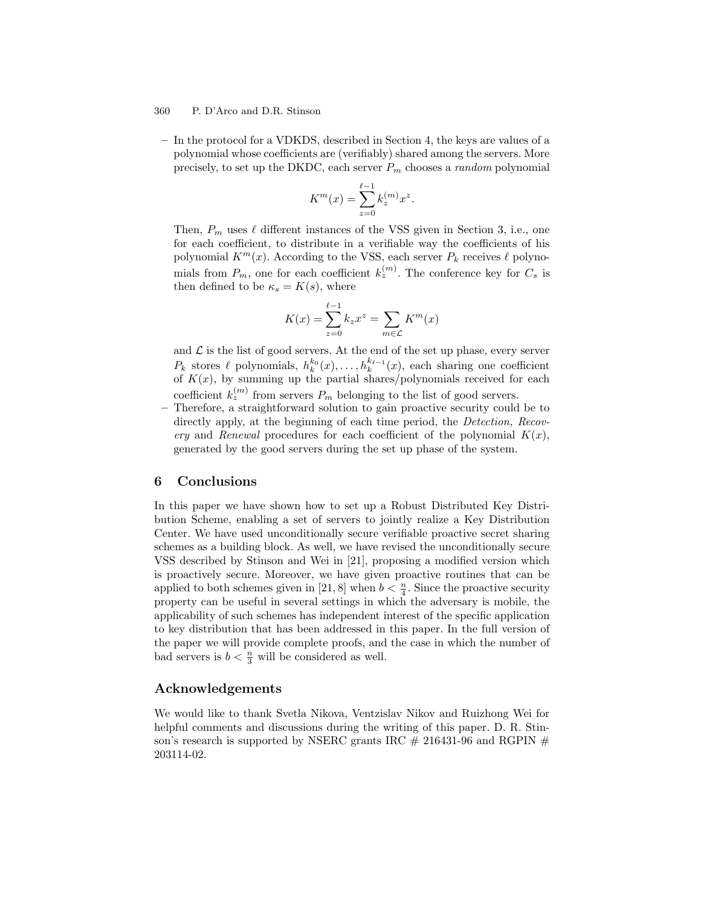– In the protocol for a VDKDS, described in Section 4, the keys are values of a polynomial whose coefficients are (verifiably) shared among the servers. More precisely, to set up the DKDC, each server  $P_m$  chooses a *random* polynomial

$$
K^{m}(x) = \sum_{z=0}^{\ell-1} k_{z}^{(m)} x^{z}.
$$

Then,  $P_m$  uses  $\ell$  different instances of the VSS given in Section 3, i.e., one for each coefficient, to distribute in a verifiable way the coefficients of his polynomial  $K^m(x)$ . According to the VSS, each server  $P_k$  receives  $\ell$  polynomials from  $P_m$ , one for each coefficient  $k_z^{(m)}$ . The conference key for  $C_s$  is then defined to be  $\kappa_s = K(s)$ , where

$$
K(x) = \sum_{z=0}^{\ell-1} k_z x^z = \sum_{m \in \mathcal{L}} K^m(x)
$$

and  $\mathcal L$  is the list of good servers. At the end of the set up phase, every server  $P_k$  stores  $\ell$  polynomials,  $h_k^{k_0}(x), \ldots, h_k^{k_{\ell-1}}(x)$ , each sharing one coefficient of  $K(x)$ , by summing up the partial shares/polynomials received for each coefficient  $k_z^{(m)}$  from servers  $P_m$  belonging to the list of good servers.

– Therefore, a straightforward solution to gain proactive security could be to directly apply, at the beginning of each time period, the *Detection*, *Recov*ery and Renewal procedures for each coefficient of the polynomial  $K(x)$ , generated by the good servers during the set up phase of the system.

### 6 Conclusions

In this paper we have shown how to set up a Robust Distributed Key Distribution Scheme, enabling a set of servers to jointly realize a Key Distribution Center. We have used unconditionally secure verifiable proactive secret sharing schemes as a building block. As well, we have revised the unconditionally secure VSS described by Stinson and Wei in [21], proposing a modified version which is proactively secure. Moreover, we have given proactive routines that can be applied to both schemes given in [21, 8] when  $b < \frac{n}{4}$ . Since the proactive security property can be useful in several settings in which the adversary is mobile, the applicability of such schemes has independent interest of the specific application to key distribution that has been addressed in this paper. In the full version of the paper we will provide complete proofs, and the case in which the number of bad servers is  $b < \frac{n}{3}$  will be considered as well.

# Acknowledgements

We would like to thank Svetla Nikova, Ventzislav Nikov and Ruizhong Wei for helpful comments and discussions during the writing of this paper. D. R. Stinson's research is supported by NSERC grants IRC  $\#$  216431-96 and RGPIN  $\#$ 203114-02.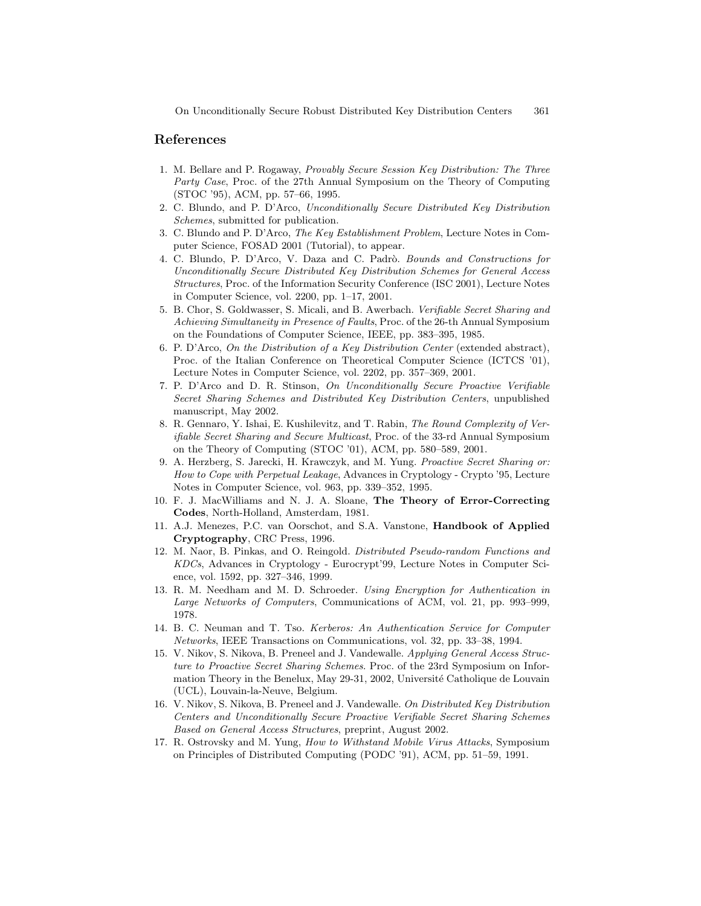# References

- 1. M. Bellare and P. Rogaway, Provably Secure Session Key Distribution: The Three Party Case, Proc. of the 27th Annual Symposium on the Theory of Computing (STOC '95), ACM, pp. 57–66, 1995.
- 2. C. Blundo, and P. D'Arco, Unconditionally Secure Distributed Key Distribution Schemes, submitted for publication.
- 3. C. Blundo and P. D'Arco, The Key Establishment Problem, Lecture Notes in Computer Science, FOSAD 2001 (Tutorial), to appear.
- 4. C. Blundo, P. D'Arco, V. Daza and C. Padrò. Bounds and Constructions for Unconditionally Secure Distributed Key Distribution Schemes for General Access Structures, Proc. of the Information Security Conference (ISC 2001), Lecture Notes in Computer Science, vol. 2200, pp. 1–17, 2001.
- 5. B. Chor, S. Goldwasser, S. Micali, and B. Awerbach. Verifiable Secret Sharing and Achieving Simultaneity in Presence of Faults, Proc. of the 26-th Annual Symposium on the Foundations of Computer Science, IEEE, pp. 383–395, 1985.
- 6. P. D'Arco, On the Distribution of a Key Distribution Center (extended abstract), Proc. of the Italian Conference on Theoretical Computer Science (ICTCS '01), Lecture Notes in Computer Science, vol. 2202, pp. 357–369, 2001.
- 7. P. D'Arco and D. R. Stinson, On Unconditionally Secure Proactive Verifiable Secret Sharing Schemes and Distributed Key Distribution Centers, unpublished manuscript, May 2002.
- 8. R. Gennaro, Y. Ishai, E. Kushilevitz, and T. Rabin, The Round Complexity of Verifiable Secret Sharing and Secure Multicast, Proc. of the 33-rd Annual Symposium on the Theory of Computing (STOC '01), ACM, pp. 580–589, 2001.
- 9. A. Herzberg, S. Jarecki, H. Krawczyk, and M. Yung. Proactive Secret Sharing or: How to Cope with Perpetual Leakage, Advances in Cryptology - Crypto '95, Lecture Notes in Computer Science, vol. 963, pp. 339–352, 1995.
- 10. F. J. MacWilliams and N. J. A. Sloane, The Theory of Error-Correcting Codes, North-Holland, Amsterdam, 1981.
- 11. A.J. Menezes, P.C. van Oorschot, and S.A. Vanstone, Handbook of Applied Cryptography, CRC Press, 1996.
- 12. M. Naor, B. Pinkas, and O. Reingold. Distributed Pseudo-random Functions and KDCs, Advances in Cryptology - Eurocrypt'99, Lecture Notes in Computer Science, vol. 1592, pp. 327–346, 1999.
- 13. R. M. Needham and M. D. Schroeder. Using Encryption for Authentication in Large Networks of Computers, Communications of ACM, vol. 21, pp. 993–999, 1978.
- 14. B. C. Neuman and T. Tso. Kerberos: An Authentication Service for Computer Networks, IEEE Transactions on Communications, vol. 32, pp. 33–38, 1994.
- 15. V. Nikov, S. Nikova, B. Preneel and J. Vandewalle. Applying General Access Structure to Proactive Secret Sharing Schemes. Proc. of the 23rd Symposium on Information Theory in the Benelux, May 29-31, 2002, Université Catholique de Louvain (UCL), Louvain-la-Neuve, Belgium.
- 16. V. Nikov, S. Nikova, B. Preneel and J. Vandewalle. On Distributed Key Distribution Centers and Unconditionally Secure Proactive Verifiable Secret Sharing Schemes Based on General Access Structures, preprint, August 2002.
- 17. R. Ostrovsky and M. Yung, How to Withstand Mobile Virus Attacks, Symposium on Principles of Distributed Computing (PODC '91), ACM, pp. 51–59, 1991.